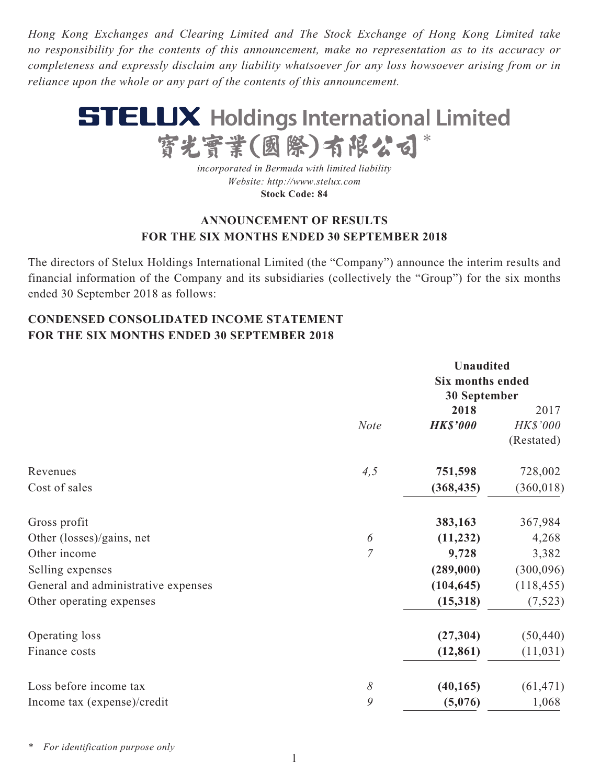*Hong Kong Exchanges and Clearing Limited and The Stock Exchange of Hong Kong Limited take no responsibility for the contents of this announcement, make no representation as to its accuracy or completeness and expressly disclaim any liability whatsoever for any loss howsoever arising from or in reliance upon the whole or any part of the contents of this announcement.*



*incorporated in Bermuda with limited liability Website: http://www.stelux.com* **Stock Code: 84**

## **ANNOUNCEMENT OF RESULTS FOR THE SIX MONTHS ENDED 30 SEPTEMBER 2018**

The directors of Stelux Holdings International Limited (the "Company") announce the interim results and financial information of the Company and its subsidiaries (collectively the "Group") for the six months ended 30 September 2018 as follows:

## **CONDENSED CONSOLIDATED INCOME STATEMENT FOR THE SIX MONTHS ENDED 30 SEPTEMBER 2018**

|                                     | <b>Unaudited</b> |                         |            |  |
|-------------------------------------|------------------|-------------------------|------------|--|
|                                     |                  | <b>Six months ended</b> |            |  |
|                                     |                  | <b>30 September</b>     |            |  |
|                                     |                  | 2018                    | 2017       |  |
|                                     | <b>Note</b>      | <b>HK\$'000</b>         | HK\$'000   |  |
|                                     |                  |                         | (Restated) |  |
| Revenues                            | 4,5              | 751,598                 | 728,002    |  |
| Cost of sales                       |                  | (368, 435)              | (360, 018) |  |
| Gross profit                        |                  | 383,163                 | 367,984    |  |
| Other (losses)/gains, net           | 6                | (11, 232)               | 4,268      |  |
| Other income                        | $\overline{7}$   | 9,728                   | 3,382      |  |
| Selling expenses                    |                  | (289,000)               | (300,096)  |  |
| General and administrative expenses |                  | (104, 645)              | (118, 455) |  |
| Other operating expenses            |                  | (15,318)                | (7,523)    |  |
| Operating loss                      |                  | (27, 304)               | (50, 440)  |  |
| Finance costs                       |                  | (12, 861)               | (11, 031)  |  |
| Loss before income tax              | $\delta$         | (40, 165)               | (61, 471)  |  |
| Income tax (expense)/credit         | 9                | (5,076)                 | 1,068      |  |

*\* For identification purpose only*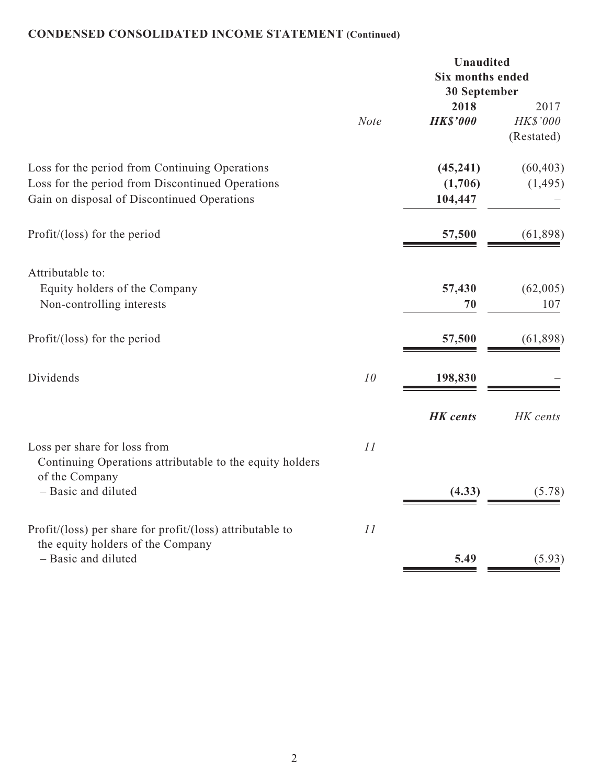# **CONDENSED CONSOLIDATED INCOME STATEMENT (Continued)**

|                                                                                                                                                   | Unaudited<br><b>Six months ended</b><br>30 September |                                 |                                |
|---------------------------------------------------------------------------------------------------------------------------------------------------|------------------------------------------------------|---------------------------------|--------------------------------|
|                                                                                                                                                   | <b>Note</b>                                          | 2018<br><b>HK\$'000</b>         | 2017<br>HK\$'000<br>(Restated) |
| Loss for the period from Continuing Operations<br>Loss for the period from Discontinued Operations<br>Gain on disposal of Discontinued Operations |                                                      | (45, 241)<br>(1,706)<br>104,447 | (60, 403)<br>(1, 495)          |
| Profit/ $(\text{loss})$ for the period                                                                                                            |                                                      | 57,500                          | (61, 898)                      |
| Attributable to:<br>Equity holders of the Company<br>Non-controlling interests                                                                    |                                                      | 57,430<br>70                    | (62,005)<br>107                |
| Profit/ $(\text{loss})$ for the period                                                                                                            |                                                      | 57,500                          | (61, 898)                      |
| Dividends                                                                                                                                         | 10                                                   | 198,830                         |                                |
|                                                                                                                                                   |                                                      | <b>HK</b> cents                 | HK cents                       |
| Loss per share for loss from<br>Continuing Operations attributable to the equity holders<br>of the Company<br>- Basic and diluted                 | 11                                                   | (4.33)                          | (5.78)                         |
| Profit/(loss) per share for profit/(loss) attributable to                                                                                         | 11                                                   |                                 |                                |
| the equity holders of the Company<br>- Basic and diluted                                                                                          |                                                      | 5.49                            | (5.93)                         |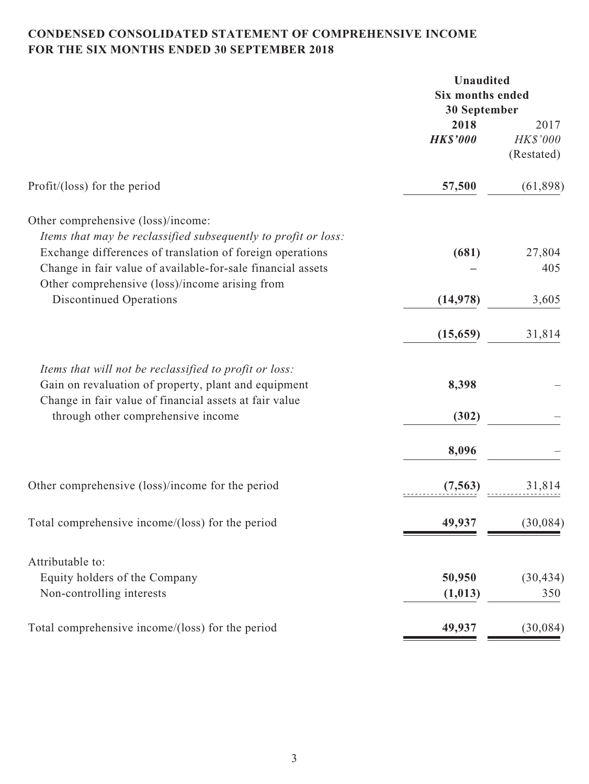## **CONDENSED CONSOLIDATED STATEMENT OF COMPREHENSIVE INCOME FOR THE SIX MONTHS ENDED 30 SEPTEMBER 2018**

|                                                                | Unaudited                               |            |  |
|----------------------------------------------------------------|-----------------------------------------|------------|--|
|                                                                | <b>Six months ended</b><br>30 September |            |  |
|                                                                |                                         |            |  |
|                                                                | 2018                                    | 2017       |  |
|                                                                | <b>HK\$'000</b>                         | HK\$'000   |  |
|                                                                |                                         | (Restated) |  |
|                                                                |                                         |            |  |
| Profit/(loss) for the period                                   | 57,500                                  | (61, 898)  |  |
| Other comprehensive (loss)/income:                             |                                         |            |  |
|                                                                |                                         |            |  |
| Items that may be reclassified subsequently to profit or loss: |                                         |            |  |
| Exchange differences of translation of foreign operations      | (681)                                   | 27,804     |  |
| Change in fair value of available-for-sale financial assets    |                                         | 405        |  |
| Other comprehensive (loss)/income arising from                 |                                         |            |  |
| <b>Discontinued Operations</b>                                 | (14, 978)                               | 3,605      |  |
|                                                                | (15, 659)                               | 31,814     |  |
| Items that will not be reclassified to profit or loss:         |                                         |            |  |
|                                                                | 8,398                                   |            |  |
| Gain on revaluation of property, plant and equipment           |                                         |            |  |
| Change in fair value of financial assets at fair value         |                                         |            |  |
| through other comprehensive income                             | (302)                                   |            |  |
|                                                                | 8,096                                   |            |  |
| Other comprehensive (loss)/income for the period               | (7, 563)                                | 31,814     |  |
|                                                                |                                         |            |  |
| Total comprehensive income/(loss) for the period               | 49,937                                  | (30, 084)  |  |
| Attributable to:                                               |                                         |            |  |
| Equity holders of the Company                                  | 50,950                                  | (30, 434)  |  |
| Non-controlling interests                                      |                                         | 350        |  |
|                                                                | (1, 013)                                |            |  |
| Total comprehensive income/(loss) for the period               | 49,937                                  | (30,084)   |  |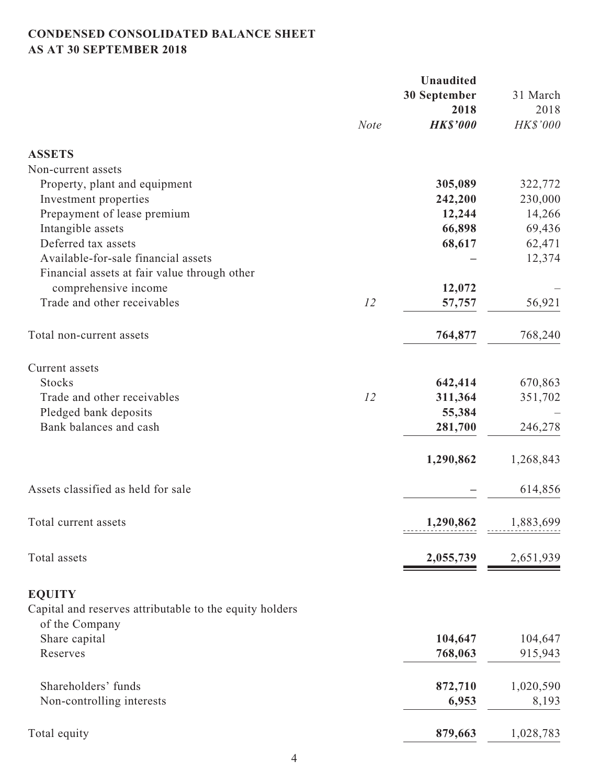## **CONDENSED CONSOLIDATED BALANCE SHEET AS AT 30 SEPTEMBER 2018**

|                                                                           |             | <b>Unaudited</b> |           |
|---------------------------------------------------------------------------|-------------|------------------|-----------|
|                                                                           |             | 30 September     | 31 March  |
|                                                                           |             | 2018             | 2018      |
|                                                                           | <b>Note</b> | <b>HK\$'000</b>  | HK\$'000  |
| <b>ASSETS</b>                                                             |             |                  |           |
| Non-current assets                                                        |             |                  |           |
| Property, plant and equipment                                             |             | 305,089          | 322,772   |
| Investment properties                                                     |             | 242,200          | 230,000   |
| Prepayment of lease premium                                               |             | 12,244           | 14,266    |
| Intangible assets                                                         |             | 66,898           | 69,436    |
| Deferred tax assets                                                       |             | 68,617           | 62,471    |
| Available-for-sale financial assets                                       |             |                  | 12,374    |
| Financial assets at fair value through other                              |             |                  |           |
| comprehensive income                                                      |             | 12,072           |           |
| Trade and other receivables                                               | 12          | 57,757           | 56,921    |
|                                                                           |             |                  |           |
| Total non-current assets                                                  |             | 764,877          | 768,240   |
| Current assets                                                            |             |                  |           |
| <b>Stocks</b>                                                             |             | 642,414          | 670,863   |
| Trade and other receivables                                               | 12          | 311,364          | 351,702   |
| Pledged bank deposits                                                     |             | 55,384           |           |
| Bank balances and cash                                                    |             | 281,700          | 246,278   |
|                                                                           |             |                  |           |
|                                                                           |             | 1,290,862        | 1,268,843 |
| Assets classified as held for sale                                        |             |                  | 614,856   |
| Total current assets                                                      |             | 1,290,862        | 1,883,699 |
|                                                                           |             |                  |           |
| Total assets                                                              |             | 2,055,739        | 2,651,939 |
| <b>EQUITY</b>                                                             |             |                  |           |
| Capital and reserves attributable to the equity holders<br>of the Company |             |                  |           |
| Share capital                                                             |             | 104,647          | 104,647   |
| Reserves                                                                  |             | 768,063          | 915,943   |
|                                                                           |             |                  |           |
| Shareholders' funds                                                       |             | 872,710          | 1,020,590 |
| Non-controlling interests                                                 |             | 6,953            | 8,193     |
| Total equity                                                              |             | 879,663          | 1,028,783 |
|                                                                           |             |                  |           |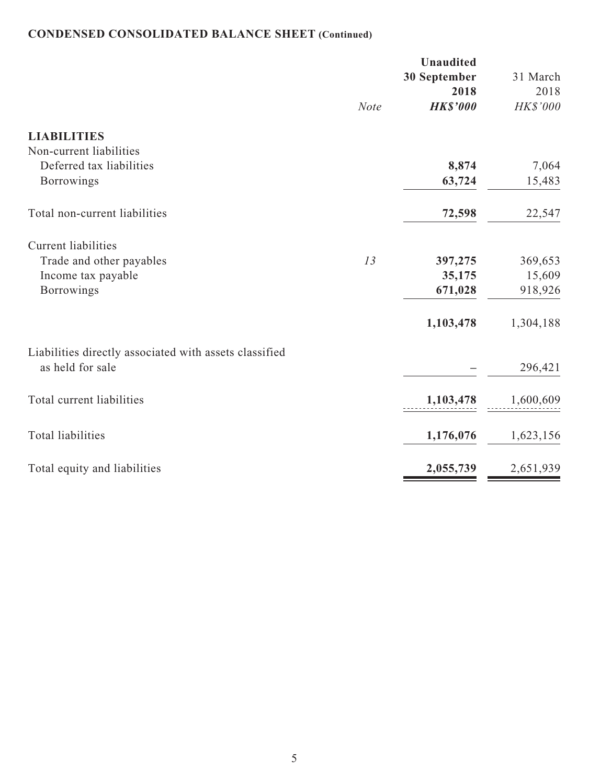# **CONDENSED CONSOLIDATED BALANCE SHEET (Continued)**

|                                                        |             | Unaudited<br>30 September<br>2018 | 31 March<br>2018 |
|--------------------------------------------------------|-------------|-----------------------------------|------------------|
|                                                        | <b>Note</b> | <b>HK\$'000</b>                   | HK\$'000         |
| <b>LIABILITIES</b>                                     |             |                                   |                  |
| Non-current liabilities                                |             |                                   |                  |
| Deferred tax liabilities                               |             | 8,874                             | 7,064            |
| Borrowings                                             |             | 63,724                            | 15,483           |
| Total non-current liabilities                          |             | 72,598                            | 22,547           |
| <b>Current liabilities</b>                             |             |                                   |                  |
| Trade and other payables                               | 13          | 397,275                           | 369,653          |
| Income tax payable                                     |             | 35,175                            | 15,609           |
| <b>Borrowings</b>                                      |             | 671,028                           | 918,926          |
|                                                        |             | 1,103,478                         | 1,304,188        |
| Liabilities directly associated with assets classified |             |                                   |                  |
| as held for sale                                       |             |                                   | 296,421          |
| Total current liabilities                              |             | 1,103,478                         | 1,600,609        |
| <b>Total liabilities</b>                               |             | 1,176,076                         | 1,623,156        |
| Total equity and liabilities                           |             | 2,055,739                         | 2,651,939        |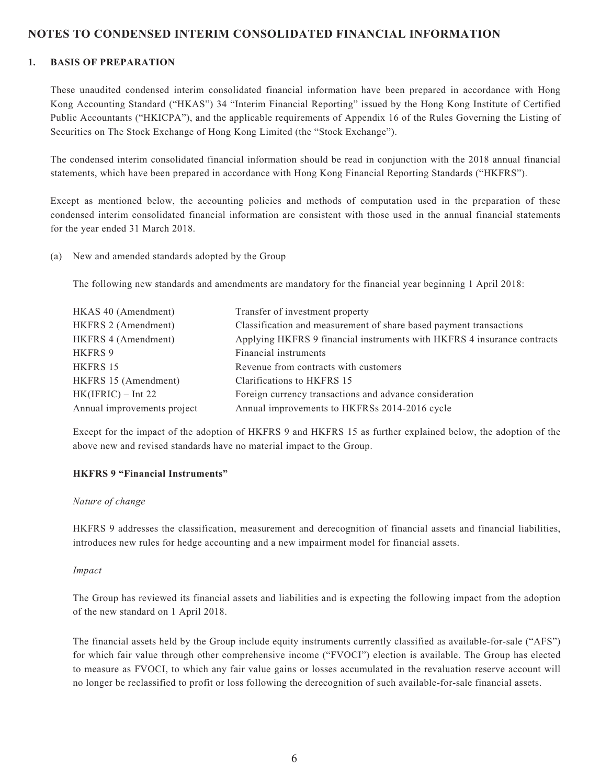### **NOTES TO CONDENSED INTERIM CONSOLIDATED FINANCIAL INFORMATION**

### **1. BASIS OF PREPARATION**

These unaudited condensed interim consolidated financial information have been prepared in accordance with Hong Kong Accounting Standard ("HKAS") 34 "Interim Financial Reporting" issued by the Hong Kong Institute of Certified Public Accountants ("HKICPA"), and the applicable requirements of Appendix 16 of the Rules Governing the Listing of Securities on The Stock Exchange of Hong Kong Limited (the "Stock Exchange").

The condensed interim consolidated financial information should be read in conjunction with the 2018 annual financial statements, which have been prepared in accordance with Hong Kong Financial Reporting Standards ("HKFRS").

Except as mentioned below, the accounting policies and methods of computation used in the preparation of these condensed interim consolidated financial information are consistent with those used in the annual financial statements for the year ended 31 March 2018.

(a) New and amended standards adopted by the Group

The following new standards and amendments are mandatory for the financial year beginning 1 April 2018:

| HKAS 40 (Amendment)         | Transfer of investment property                                         |
|-----------------------------|-------------------------------------------------------------------------|
| HKFRS 2 (Amendment)         | Classification and measurement of share based payment transactions      |
| HKFRS 4 (Amendment)         | Applying HKFRS 9 financial instruments with HKFRS 4 insurance contracts |
| HKFRS 9                     | Financial instruments                                                   |
| HKFRS 15                    | Revenue from contracts with customers                                   |
| HKFRS 15 (Amendment)        | Clarifications to HKFRS 15                                              |
| $HK(IFRIC) - Int 22$        | Foreign currency transactions and advance consideration                 |
| Annual improvements project | Annual improvements to HKFRSs 2014-2016 cycle                           |

Except for the impact of the adoption of HKFRS 9 and HKFRS 15 as further explained below, the adoption of the above new and revised standards have no material impact to the Group.

#### **HKFRS 9 "Financial Instruments"**

#### *Nature of change*

HKFRS 9 addresses the classification, measurement and derecognition of financial assets and financial liabilities, introduces new rules for hedge accounting and a new impairment model for financial assets.

#### *Impact*

The Group has reviewed its financial assets and liabilities and is expecting the following impact from the adoption of the new standard on 1 April 2018.

The financial assets held by the Group include equity instruments currently classified as available-for-sale ("AFS") for which fair value through other comprehensive income ("FVOCI") election is available. The Group has elected to measure as FVOCI, to which any fair value gains or losses accumulated in the revaluation reserve account will no longer be reclassified to profit or loss following the derecognition of such available-for-sale financial assets.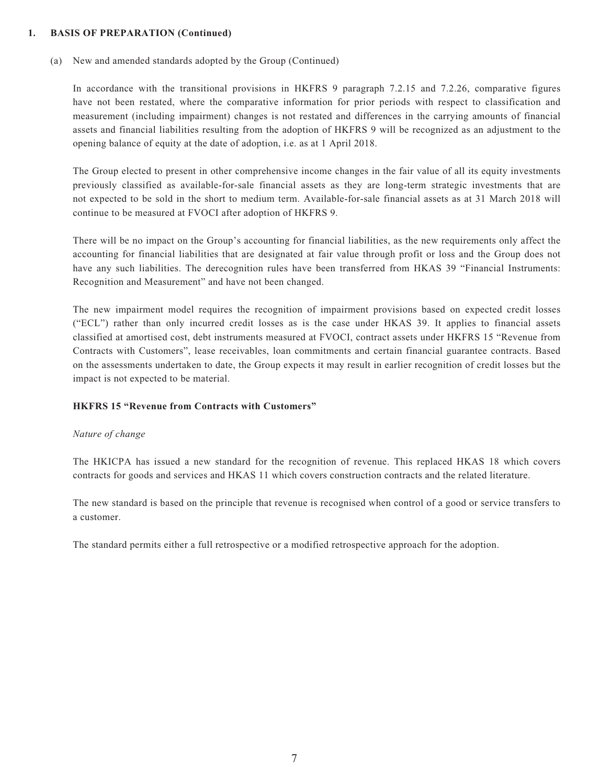### **1. BASIS OF PREPARATION (Continued)**

(a) New and amended standards adopted by the Group (Continued)

In accordance with the transitional provisions in HKFRS 9 paragraph 7.2.15 and 7.2.26, comparative figures have not been restated, where the comparative information for prior periods with respect to classification and measurement (including impairment) changes is not restated and differences in the carrying amounts of financial assets and financial liabilities resulting from the adoption of HKFRS 9 will be recognized as an adjustment to the opening balance of equity at the date of adoption, i.e. as at 1 April 2018.

The Group elected to present in other comprehensive income changes in the fair value of all its equity investments previously classified as available-for-sale financial assets as they are long-term strategic investments that are not expected to be sold in the short to medium term. Available-for-sale financial assets as at 31 March 2018 will continue to be measured at FVOCI after adoption of HKFRS 9.

There will be no impact on the Group's accounting for financial liabilities, as the new requirements only affect the accounting for financial liabilities that are designated at fair value through profit or loss and the Group does not have any such liabilities. The derecognition rules have been transferred from HKAS 39 "Financial Instruments: Recognition and Measurement" and have not been changed.

The new impairment model requires the recognition of impairment provisions based on expected credit losses ("ECL") rather than only incurred credit losses as is the case under HKAS 39. It applies to financial assets classified at amortised cost, debt instruments measured at FVOCI, contract assets under HKFRS 15 "Revenue from Contracts with Customers", lease receivables, loan commitments and certain financial guarantee contracts. Based on the assessments undertaken to date, the Group expects it may result in earlier recognition of credit losses but the impact is not expected to be material.

#### **HKFRS 15 "Revenue from Contracts with Customers"**

#### *Nature of change*

The HKICPA has issued a new standard for the recognition of revenue. This replaced HKAS 18 which covers contracts for goods and services and HKAS 11 which covers construction contracts and the related literature.

The new standard is based on the principle that revenue is recognised when control of a good or service transfers to a customer.

The standard permits either a full retrospective or a modified retrospective approach for the adoption.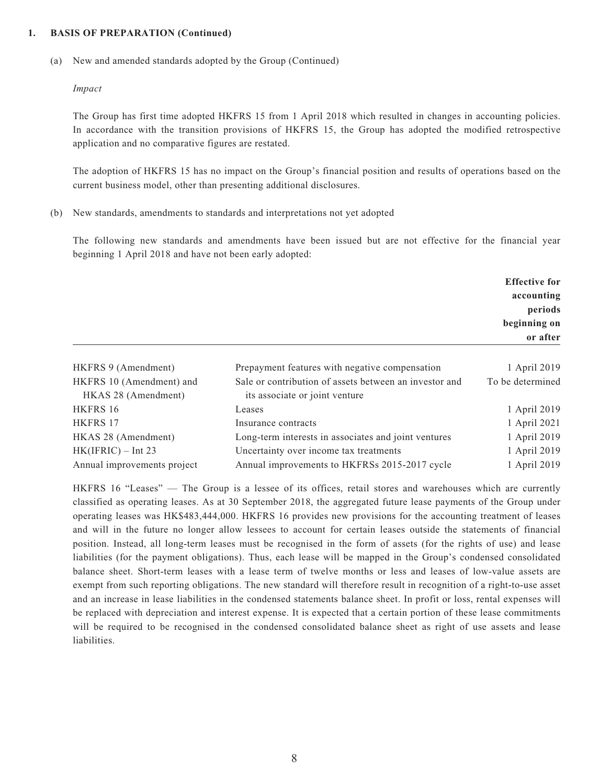#### **1. BASIS OF PREPARATION (Continued)**

(a) New and amended standards adopted by the Group (Continued)

#### *Impact*

The Group has first time adopted HKFRS 15 from 1 April 2018 which resulted in changes in accounting policies. In accordance with the transition provisions of HKFRS 15, the Group has adopted the modified retrospective application and no comparative figures are restated.

The adoption of HKFRS 15 has no impact on the Group's financial position and results of operations based on the current business model, other than presenting additional disclosures.

(b) New standards, amendments to standards and interpretations not yet adopted

The following new standards and amendments have been issued but are not effective for the financial year beginning 1 April 2018 and have not been early adopted:

|                                                 |                                                                                          | <b>Effective for</b><br>accounting<br>periods<br>beginning on<br>or after |
|-------------------------------------------------|------------------------------------------------------------------------------------------|---------------------------------------------------------------------------|
| HKFRS 9 (Amendment)                             | Prepayment features with negative compensation                                           | 1 April 2019                                                              |
| HKFRS 10 (Amendment) and<br>HKAS 28 (Amendment) | Sale or contribution of assets between an investor and<br>its associate or joint venture | To be determined                                                          |
| HKFRS 16                                        | Leases                                                                                   | 1 April 2019                                                              |
| <b>HKFRS 17</b>                                 | Insurance contracts                                                                      | 1 April 2021                                                              |
| HKAS 28 (Amendment)                             | Long-term interests in associates and joint ventures                                     | 1 April 2019                                                              |
| $HK(IFRIC) - Int 23$                            | Uncertainty over income tax treatments                                                   | 1 April 2019                                                              |
| Annual improvements project                     | Annual improvements to HKFRSs 2015-2017 cycle                                            | 1 April 2019                                                              |

HKFRS 16 "Leases" — The Group is a lessee of its offices, retail stores and warehouses which are currently classified as operating leases. As at 30 September 2018, the aggregated future lease payments of the Group under operating leases was HK\$483,444,000. HKFRS 16 provides new provisions for the accounting treatment of leases and will in the future no longer allow lessees to account for certain leases outside the statements of financial position. Instead, all long-term leases must be recognised in the form of assets (for the rights of use) and lease liabilities (for the payment obligations). Thus, each lease will be mapped in the Group's condensed consolidated balance sheet. Short-term leases with a lease term of twelve months or less and leases of low-value assets are exempt from such reporting obligations. The new standard will therefore result in recognition of a right-to-use asset and an increase in lease liabilities in the condensed statements balance sheet. In profit or loss, rental expenses will be replaced with depreciation and interest expense. It is expected that a certain portion of these lease commitments will be required to be recognised in the condensed consolidated balance sheet as right of use assets and lease liabilities.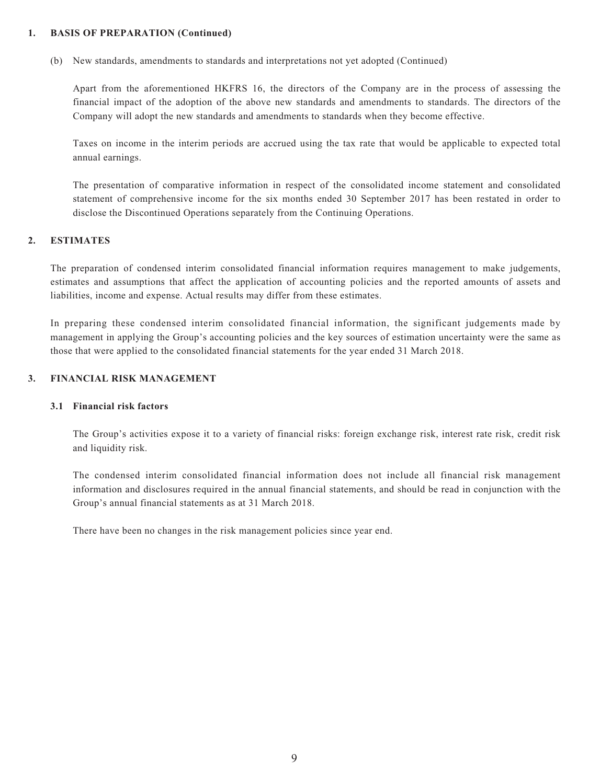### **1. BASIS OF PREPARATION (Continued)**

(b) New standards, amendments to standards and interpretations not yet adopted (Continued)

Apart from the aforementioned HKFRS 16, the directors of the Company are in the process of assessing the financial impact of the adoption of the above new standards and amendments to standards. The directors of the Company will adopt the new standards and amendments to standards when they become effective.

Taxes on income in the interim periods are accrued using the tax rate that would be applicable to expected total annual earnings.

The presentation of comparative information in respect of the consolidated income statement and consolidated statement of comprehensive income for the six months ended 30 September 2017 has been restated in order to disclose the Discontinued Operations separately from the Continuing Operations.

### **2. ESTIMATES**

The preparation of condensed interim consolidated financial information requires management to make judgements, estimates and assumptions that affect the application of accounting policies and the reported amounts of assets and liabilities, income and expense. Actual results may differ from these estimates.

In preparing these condensed interim consolidated financial information, the significant judgements made by management in applying the Group's accounting policies and the key sources of estimation uncertainty were the same as those that were applied to the consolidated financial statements for the year ended 31 March 2018.

#### **3. FINANCIAL RISK MANAGEMENT**

#### **3.1 Financial risk factors**

The Group's activities expose it to a variety of financial risks: foreign exchange risk, interest rate risk, credit risk and liquidity risk.

The condensed interim consolidated financial information does not include all financial risk management information and disclosures required in the annual financial statements, and should be read in conjunction with the Group's annual financial statements as at 31 March 2018.

There have been no changes in the risk management policies since year end.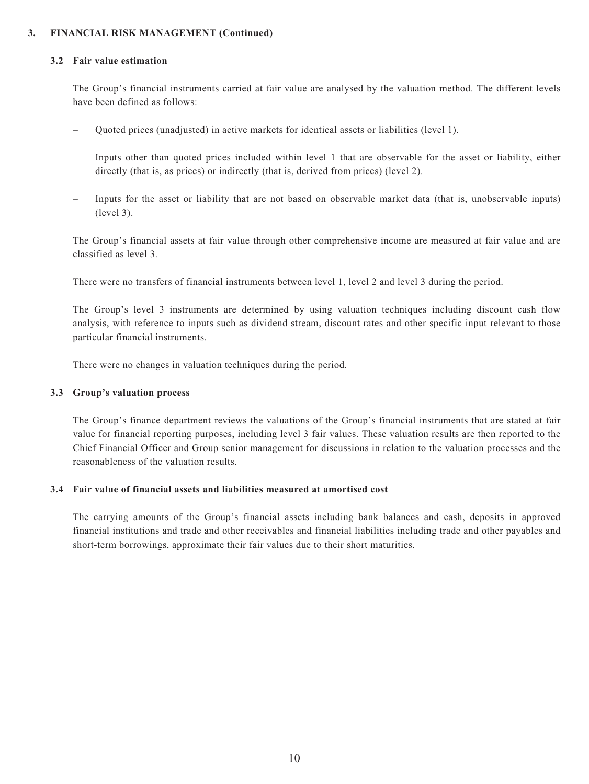### **3. FINANCIAL RISK MANAGEMENT (Continued)**

#### **3.2 Fair value estimation**

The Group's financial instruments carried at fair value are analysed by the valuation method. The different levels have been defined as follows:

- Quoted prices (unadjusted) in active markets for identical assets or liabilities (level 1).
- Inputs other than quoted prices included within level 1 that are observable for the asset or liability, either directly (that is, as prices) or indirectly (that is, derived from prices) (level 2).
- Inputs for the asset or liability that are not based on observable market data (that is, unobservable inputs) (level 3).

The Group's financial assets at fair value through other comprehensive income are measured at fair value and are classified as level 3.

There were no transfers of financial instruments between level 1, level 2 and level 3 during the period.

The Group's level 3 instruments are determined by using valuation techniques including discount cash flow analysis, with reference to inputs such as dividend stream, discount rates and other specific input relevant to those particular financial instruments.

There were no changes in valuation techniques during the period.

#### **3.3 Group's valuation process**

The Group's finance department reviews the valuations of the Group's financial instruments that are stated at fair value for financial reporting purposes, including level 3 fair values. These valuation results are then reported to the Chief Financial Officer and Group senior management for discussions in relation to the valuation processes and the reasonableness of the valuation results.

### **3.4 Fair value of financial assets and liabilities measured at amortised cost**

The carrying amounts of the Group's financial assets including bank balances and cash, deposits in approved financial institutions and trade and other receivables and financial liabilities including trade and other payables and short-term borrowings, approximate their fair values due to their short maturities.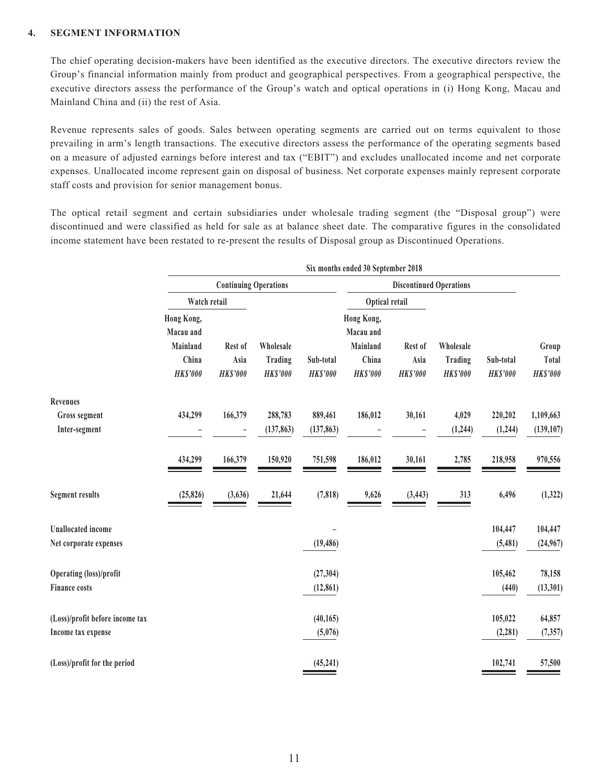### **4. SEGMENT INFORMATION**

The chief operating decision-makers have been identified as the executive directors. The executive directors review the Group's financial information mainly from product and geographical perspectives. From a geographical perspective, the executive directors assess the performance of the Group's watch and optical operations in (i) Hong Kong, Macau and Mainland China and (ii) the rest of Asia.

Revenue represents sales of goods. Sales between operating segments are carried out on terms equivalent to those prevailing in arm's length transactions. The executive directors assess the performance of the operating segments based on a measure of adjusted earnings before interest and tax ("EBIT") and excludes unallocated income and net corporate expenses. Unallocated income represent gain on disposal of business. Net corporate expenses mainly represent corporate staff costs and provision for senior management bonus.

The optical retail segment and certain subsidiaries under wholesale trading segment (the "Disposal group") were discontinued and were classified as held for sale as at balance sheet date. The comparative figures in the consolidated income statement have been restated to re-present the results of Disposal group as Discontinued Operations.

|                                       | Six months ended 30 September 2018                              |                                    |                                         |                              |                                                                 |                                    |                                         |                              |                                   |
|---------------------------------------|-----------------------------------------------------------------|------------------------------------|-----------------------------------------|------------------------------|-----------------------------------------------------------------|------------------------------------|-----------------------------------------|------------------------------|-----------------------------------|
|                                       |                                                                 | <b>Continuing Operations</b>       |                                         |                              |                                                                 | <b>Discontinued Operations</b>     |                                         |                              |                                   |
|                                       | Watch retail                                                    |                                    |                                         |                              | Optical retail                                                  |                                    |                                         |                              |                                   |
|                                       | Hong Kong,<br>Macau and<br>Mainland<br>China<br><b>HK\$'000</b> | Rest of<br>Asia<br><b>HK\$'000</b> | Wholesale<br>Trading<br><b>HK\$'000</b> | Sub-total<br><b>HK\$'000</b> | Hong Kong,<br>Macau and<br>Mainland<br>China<br><b>HK\$'000</b> | Rest of<br>Asia<br><b>HK\$'000</b> | Wholesale<br>Trading<br><b>HK\$'000</b> | Sub-total<br><b>HK\$'000</b> | Group<br>Total<br><b>HK\$'000</b> |
| Revenues                              |                                                                 |                                    |                                         |                              |                                                                 |                                    |                                         |                              |                                   |
| <b>Gross segment</b><br>Inter-segment | 434,299                                                         | 166,379<br>$\qquad \qquad -$       | 288,783<br>(137, 863)                   | 889,461<br>(137, 863)        | 186,012                                                         | 30,161                             | 4,029<br>(1,244)                        | 220,202<br>(1,244)           | 1,109,663<br>(139, 107)           |
|                                       | 434,299                                                         | 166,379                            | 150,920                                 | 751,598                      | 186,012                                                         | 30,161                             | 2,785                                   | 218,958                      | 970,556                           |
| <b>Segment results</b>                | (25, 826)                                                       | (3,636)                            | 21,644                                  | (7, 818)                     | 9,626                                                           | (3, 443)                           | 313                                     | 6,496                        | (1, 322)                          |
| <b>Unallocated</b> income             |                                                                 |                                    |                                         |                              |                                                                 |                                    |                                         | 104,447                      | 104,447                           |
| Net corporate expenses                |                                                                 |                                    |                                         | (19, 486)                    |                                                                 |                                    |                                         | (5,481)                      | (24,967)                          |
| <b>Operating (loss)/profit</b>        |                                                                 |                                    |                                         | (27, 304)                    |                                                                 |                                    |                                         | 105,462                      | 78,158                            |
| <b>Finance costs</b>                  |                                                                 |                                    |                                         | (12, 861)                    |                                                                 |                                    |                                         | (440)                        | (13, 301)                         |
| (Loss)/profit before income tax       |                                                                 |                                    |                                         | (40, 165)                    |                                                                 |                                    |                                         | 105,022                      | 64,857                            |
| Income tax expense                    |                                                                 |                                    |                                         | (5,076)                      |                                                                 |                                    |                                         | (2, 281)                     | (7, 357)                          |
| (Loss)/profit for the period          |                                                                 |                                    |                                         | (45, 241)                    |                                                                 |                                    |                                         | 102,741                      | 57,500                            |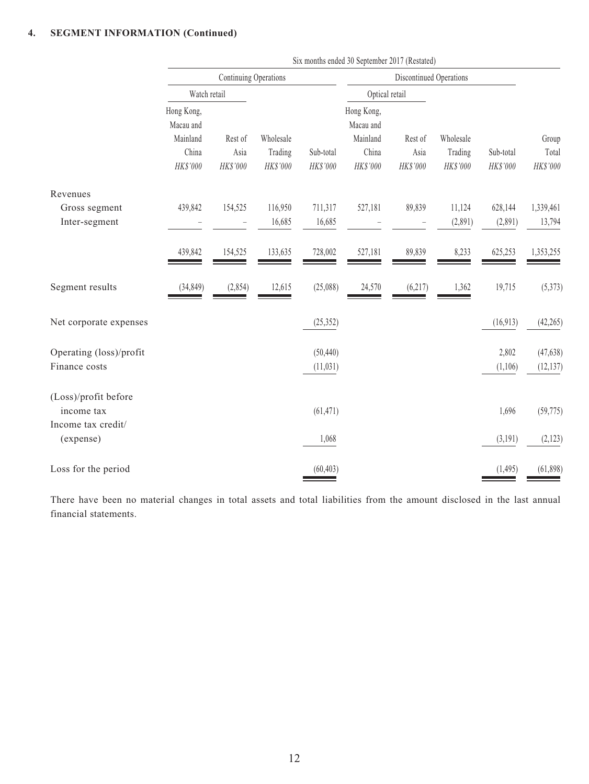### **4. SEGMENT INFORMATION (Continued)**

|                                                          |                                                          | Continuing Operations        |                                  |                        | Discontinued Operations                                  |                             |                                  |                       |                            |
|----------------------------------------------------------|----------------------------------------------------------|------------------------------|----------------------------------|------------------------|----------------------------------------------------------|-----------------------------|----------------------------------|-----------------------|----------------------------|
|                                                          | Watch retail                                             |                              |                                  |                        | Optical retail                                           |                             |                                  |                       |                            |
|                                                          | Hong Kong,<br>Macau and<br>Mainland<br>China<br>HK\$'000 | Rest of<br>Asia<br>HK\$'000  | Wholesale<br>Trading<br>HK\$'000 | Sub-total<br>HK\$'000  | Hong Kong,<br>Macau and<br>Mainland<br>China<br>HK\$'000 | Rest of<br>Asia<br>HK\$'000 | Wholesale<br>Trading<br>HK\$'000 | Sub-total<br>HK\$'000 | Group<br>Total<br>HK\$'000 |
| Revenues<br>Gross segment<br>Inter-segment               | 439,842                                                  | 154,525<br>$\qquad \qquad -$ | 116,950<br>16,685                | 711,317<br>16,685      | 527,181                                                  | 89,839                      | 11,124<br>(2,891)                | 628,144<br>(2,891)    | 1,339,461<br>13,794        |
|                                                          | 439,842                                                  | 154,525                      | 133,635                          | 728,002                | 527,181                                                  | 89,839                      | 8,233                            | 625,253               | 1,353,255                  |
| Segment results                                          | (34, 849)                                                | (2,854)                      | 12,615                           | (25,088)               | 24,570                                                   | (6, 217)                    | 1,362                            | 19,715                | (5,373)                    |
| Net corporate expenses                                   |                                                          |                              |                                  | (25, 352)              |                                                          |                             |                                  | (16, 913)             | (42, 265)                  |
| Operating (loss)/profit<br>Finance costs                 |                                                          |                              |                                  | (50, 440)<br>(11, 031) |                                                          |                             |                                  | 2,802<br>(1,106)      | (47, 638)<br>(12, 137)     |
| (Loss)/profit before<br>income tax<br>Income tax credit/ |                                                          |                              |                                  | (61, 471)              |                                                          |                             |                                  | 1,696                 | (59, 775)                  |
| (expense)                                                |                                                          |                              |                                  | 1,068                  |                                                          |                             |                                  | (3,191)               | (2, 123)                   |
| Loss for the period                                      |                                                          |                              |                                  | (60, 403)              |                                                          |                             |                                  | (1, 495)              | (61, 898)                  |

Six months ended 30 September 2017 (Restated)

There have been no material changes in total assets and total liabilities from the amount disclosed in the last annual financial statements.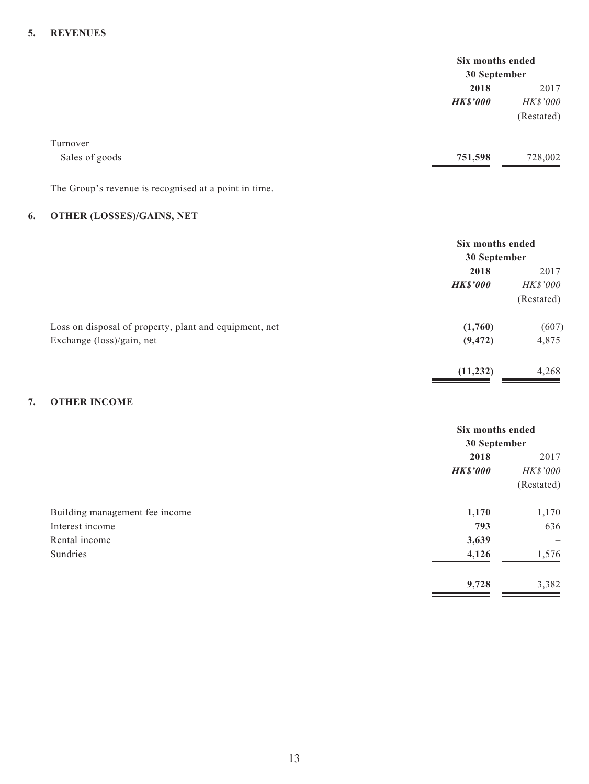### **5. REVENUES**

|                                                       | Six months ended |            |
|-------------------------------------------------------|------------------|------------|
|                                                       | 30 September     |            |
|                                                       | 2018             | 2017       |
|                                                       | <b>HK\$'000</b>  | HK\$'000   |
|                                                       |                  | (Restated) |
| Turnover                                              |                  |            |
| Sales of goods                                        | 751,598          | 728,002    |
| The Group's revenue is recognised at a point in time. |                  |            |

### **6. OTHER (LOSSES)/GAINS, NET**

|                                                        | Six months ended<br>30 September |            |
|--------------------------------------------------------|----------------------------------|------------|
|                                                        | 2018                             | 2017       |
|                                                        | <b>HK\$'000</b>                  | HK\$'000   |
|                                                        |                                  | (Restated) |
| Loss on disposal of property, plant and equipment, net | (1,760)                          | (607)      |
| Exchange (loss)/gain, net                              | (9, 472)                         | 4,875      |
|                                                        | (11, 232)                        | 4,268      |

### **7. OTHER INCOME**

|                                |                 | Six months ended<br>30 September |  |
|--------------------------------|-----------------|----------------------------------|--|
|                                | 2018            | 2017                             |  |
|                                | <b>HK\$'000</b> | <b>HK\$'000</b>                  |  |
|                                |                 | (Restated)                       |  |
| Building management fee income | 1,170           | 1,170                            |  |
| Interest income                | 793             | 636                              |  |
| Rental income                  | 3,639           | $\overline{\phantom{m}}$         |  |
| Sundries                       | 4,126           | 1,576                            |  |
|                                | 9,728           | 3,382                            |  |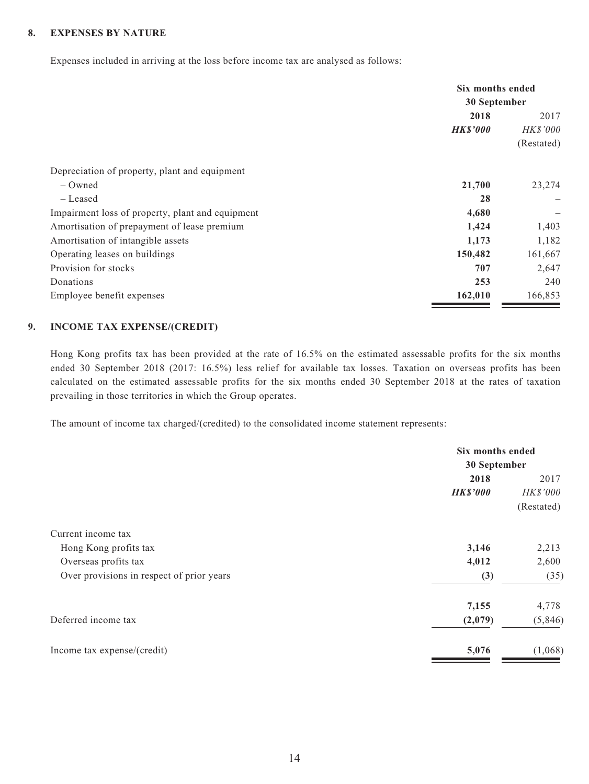### **8. EXPENSES BY NATURE**

Expenses included in arriving at the loss before income tax are analysed as follows:

|                                                  | Six months ended<br>30 September |            |
|--------------------------------------------------|----------------------------------|------------|
|                                                  |                                  |            |
|                                                  | 2018                             | 2017       |
|                                                  | <b>HK\$'000</b>                  | HK\$'000   |
|                                                  |                                  | (Restated) |
| Depreciation of property, plant and equipment    |                                  |            |
| – Owned                                          | 21,700                           | 23,274     |
| – Leased                                         | 28                               |            |
| Impairment loss of property, plant and equipment | 4,680                            | —          |
| Amortisation of prepayment of lease premium      | 1,424                            | 1,403      |
| Amortisation of intangible assets                | 1,173                            | 1,182      |
| Operating leases on buildings                    | 150,482                          | 161,667    |
| Provision for stocks                             | 707                              | 2,647      |
| Donations                                        | 253                              | 240        |
| Employee benefit expenses                        | 162,010                          | 166,853    |

### **9. INCOME TAX EXPENSE/(CREDIT)**

Hong Kong profits tax has been provided at the rate of 16.5% on the estimated assessable profits for the six months ended 30 September 2018 (2017: 16.5%) less relief for available tax losses. Taxation on overseas profits has been calculated on the estimated assessable profits for the six months ended 30 September 2018 at the rates of taxation prevailing in those territories in which the Group operates.

The amount of income tax charged/(credited) to the consolidated income statement represents:

|                                           | Six months ended |              |  |
|-------------------------------------------|------------------|--------------|--|
|                                           |                  | 30 September |  |
|                                           | 2018             | 2017         |  |
|                                           | <b>HK\$'000</b>  | HK\$'000     |  |
|                                           |                  | (Restated)   |  |
| Current income tax                        |                  |              |  |
| Hong Kong profits tax                     | 3,146            | 2,213        |  |
| Overseas profits tax                      | 4,012            | 2,600        |  |
| Over provisions in respect of prior years | (3)              | (35)         |  |
|                                           | 7,155            | 4,778        |  |
| Deferred income tax                       | (2,079)          | (5,846)      |  |
| Income tax expense/(credit)               | 5,076            | (1,068)      |  |
|                                           |                  |              |  |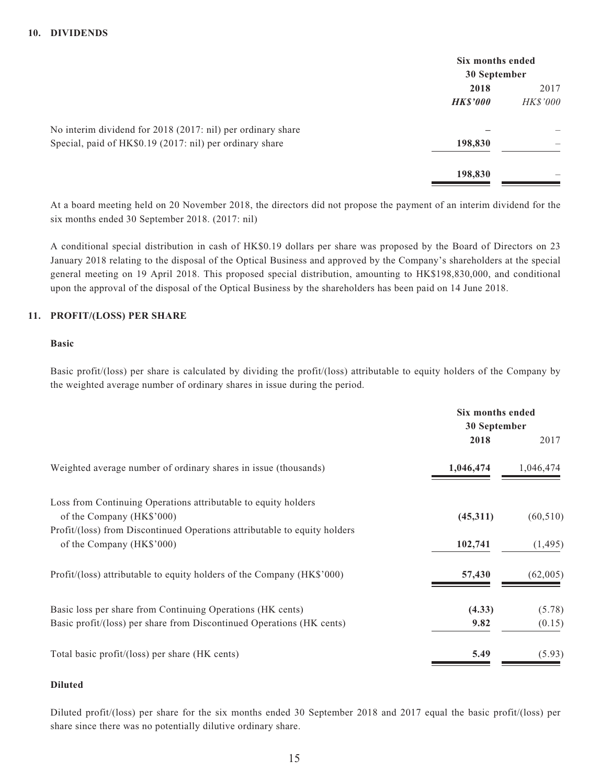|                                                             | Six months ended |          |
|-------------------------------------------------------------|------------------|----------|
|                                                             | 30 September     |          |
|                                                             | 2018             | 2017     |
|                                                             | <b>HK\$'000</b>  | HK\$'000 |
| No interim dividend for 2018 (2017: nil) per ordinary share |                  |          |
| Special, paid of HK\$0.19 (2017: nil) per ordinary share    | 198,830          |          |
|                                                             | 198,830          |          |

At a board meeting held on 20 November 2018, the directors did not propose the payment of an interim dividend for the six months ended 30 September 2018. (2017: nil)

A conditional special distribution in cash of HK\$0.19 dollars per share was proposed by the Board of Directors on 23 January 2018 relating to the disposal of the Optical Business and approved by the Company's shareholders at the special general meeting on 19 April 2018. This proposed special distribution, amounting to HK\$198,830,000, and conditional upon the approval of the disposal of the Optical Business by the shareholders has been paid on 14 June 2018.

### **11. PROFIT/(LOSS) PER SHARE**

#### **Basic**

Basic profit/(loss) per share is calculated by dividing the profit/(loss) attributable to equity holders of the Company by the weighted average number of ordinary shares in issue during the period.

|                                                                           | Six months ended<br>30 September |           |
|---------------------------------------------------------------------------|----------------------------------|-----------|
|                                                                           | 2018                             | 2017      |
| Weighted average number of ordinary shares in issue (thousands)           | 1,046,474                        | 1,046,474 |
| Loss from Continuing Operations attributable to equity holders            |                                  |           |
| of the Company (HK\$'000)                                                 | (45,311)                         | (60, 510) |
| Profit/(loss) from Discontinued Operations attributable to equity holders |                                  |           |
| of the Company (HK\$'000)                                                 | 102,741                          | (1, 495)  |
| Profit/(loss) attributable to equity holders of the Company (HK\$'000)    | 57,430                           | (62,005)  |
| Basic loss per share from Continuing Operations (HK cents)                | (4.33)                           | (5.78)    |
| Basic profit/(loss) per share from Discontinued Operations (HK cents)     | 9.82                             | (0.15)    |
| Total basic profit/(loss) per share (HK cents)                            | 5.49                             | (5.93)    |

### **Diluted**

Diluted profit/(loss) per share for the six months ended 30 September 2018 and 2017 equal the basic profit/(loss) per share since there was no potentially dilutive ordinary share.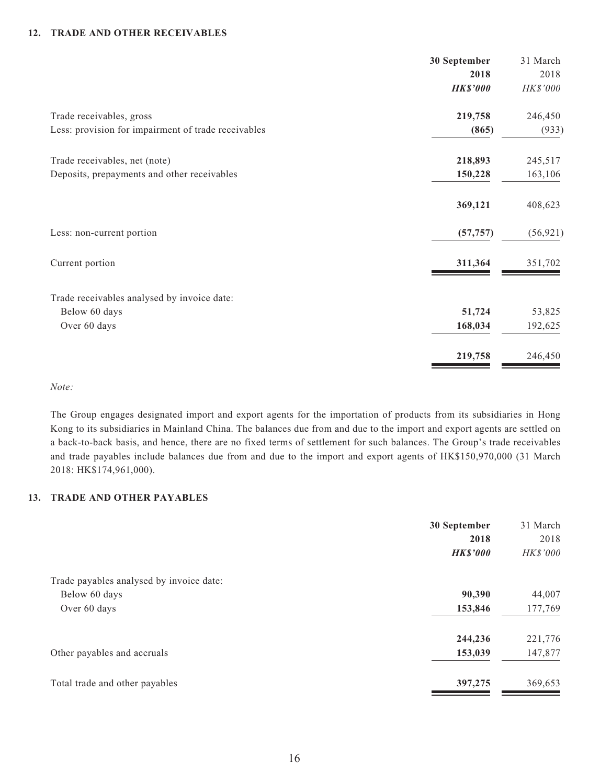### **12. TRADE AND OTHER RECEIVABLES**

|                                                     | 30 September    | 31 March  |
|-----------------------------------------------------|-----------------|-----------|
|                                                     | 2018            | 2018      |
|                                                     | <b>HK\$'000</b> | HK\$'000  |
| Trade receivables, gross                            | 219,758         | 246,450   |
| Less: provision for impairment of trade receivables | (865)           | (933)     |
| Trade receivables, net (note)                       | 218,893         | 245,517   |
| Deposits, prepayments and other receivables         | 150,228         | 163,106   |
|                                                     | 369,121         | 408,623   |
| Less: non-current portion                           | (57, 757)       | (56, 921) |
| Current portion                                     | 311,364         | 351,702   |
| Trade receivables analysed by invoice date:         |                 |           |
| Below 60 days                                       | 51,724          | 53,825    |
| Over 60 days                                        | 168,034         | 192,625   |
|                                                     | 219,758         | 246,450   |

*Note:*

The Group engages designated import and export agents for the importation of products from its subsidiaries in Hong Kong to its subsidiaries in Mainland China. The balances due from and due to the import and export agents are settled on a back-to-back basis, and hence, there are no fixed terms of settlement for such balances. The Group's trade receivables and trade payables include balances due from and due to the import and export agents of HK\$150,970,000 (31 March 2018: HK\$174,961,000).

### **13. TRADE AND OTHER PAYABLES**

|                                          | 30 September    | 31 March |
|------------------------------------------|-----------------|----------|
|                                          | 2018            | 2018     |
|                                          | <b>HK\$'000</b> | HK\$'000 |
| Trade payables analysed by invoice date: |                 |          |
| Below 60 days                            | 90,390          | 44,007   |
| Over 60 days                             | 153,846         | 177,769  |
|                                          | 244,236         | 221,776  |
| Other payables and accruals              | 153,039         | 147,877  |
| Total trade and other payables           | 397,275         | 369,653  |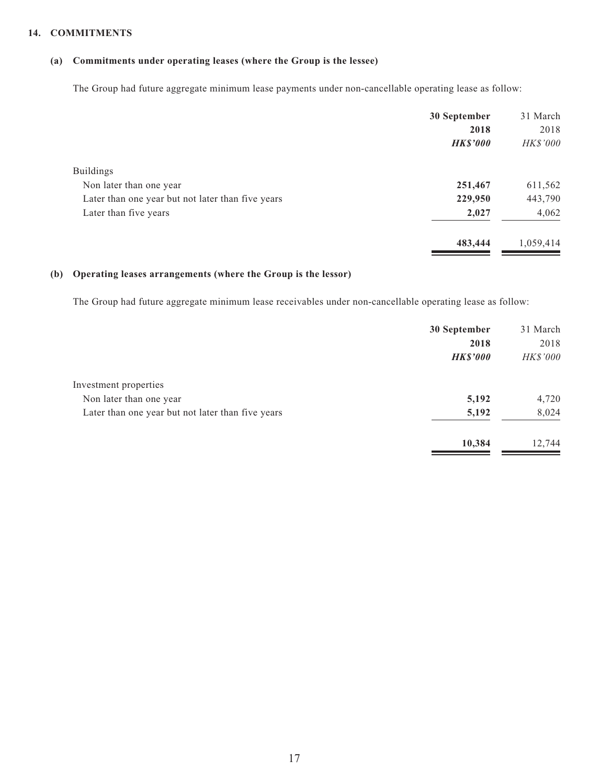### **14. COMMITMENTS**

## **(a) Commitments under operating leases (where the Group is the lessee)**

The Group had future aggregate minimum lease payments under non-cancellable operating lease as follow:

|                                                   | 30 September    | 31 March  |
|---------------------------------------------------|-----------------|-----------|
|                                                   | 2018            | 2018      |
|                                                   | <b>HK\$'000</b> | HK\$'000  |
| <b>Buildings</b>                                  |                 |           |
| Non later than one year                           | 251,467         | 611,562   |
| Later than one year but not later than five years | 229,950         | 443,790   |
| Later than five years                             | 2,027           | 4,062     |
|                                                   | 483,444         | 1,059,414 |

### **(b) Operating leases arrangements (where the Group is the lessor)**

The Group had future aggregate minimum lease receivables under non-cancellable operating lease as follow:

|                                                   | 30 September    | 31 March        |
|---------------------------------------------------|-----------------|-----------------|
|                                                   | 2018            | 2018            |
|                                                   | <b>HK\$'000</b> | <b>HK\$'000</b> |
| Investment properties                             |                 |                 |
| Non later than one year                           | 5,192           | 4,720           |
| Later than one year but not later than five years | 5,192           | 8,024           |
|                                                   | 10,384          | 12,744          |
|                                                   |                 |                 |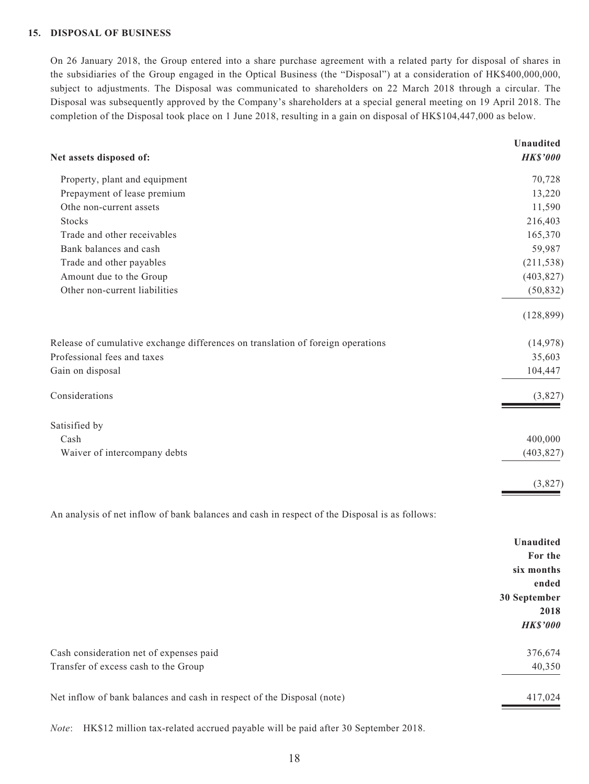### **15. DISPOSAL OF BUSINESS**

On 26 January 2018, the Group entered into a share purchase agreement with a related party for disposal of shares in the subsidiaries of the Group engaged in the Optical Business (the "Disposal") at a consideration of HK\$400,000,000, subject to adjustments. The Disposal was communicated to shareholders on 22 March 2018 through a circular. The Disposal was subsequently approved by the Company's shareholders at a special general meeting on 19 April 2018. The completion of the Disposal took place on 1 June 2018, resulting in a gain on disposal of HK\$104,447,000 as below.

|                                                                                 | <b>Unaudited</b> |
|---------------------------------------------------------------------------------|------------------|
| Net assets disposed of:                                                         | <b>HK\$'000</b>  |
| Property, plant and equipment                                                   | 70,728           |
| Prepayment of lease premium                                                     | 13,220           |
| Othe non-current assets                                                         | 11,590           |
| <b>Stocks</b>                                                                   | 216,403          |
| Trade and other receivables                                                     | 165,370          |
| Bank balances and cash                                                          | 59,987           |
| Trade and other payables                                                        | (211, 538)       |
| Amount due to the Group                                                         | (403, 827)       |
| Other non-current liabilities                                                   | (50, 832)        |
|                                                                                 | (128, 899)       |
| Release of cumulative exchange differences on translation of foreign operations | (14, 978)        |
| Professional fees and taxes                                                     | 35,603           |
| Gain on disposal                                                                | 104,447          |
| Considerations                                                                  | (3,827)          |
| Satisified by                                                                   |                  |
| Cash                                                                            | 400,000          |
| Waiver of intercompany debts                                                    | (403, 827)       |
|                                                                                 | (3,827)          |
|                                                                                 |                  |

An analysis of net inflow of bank balances and cash in respect of the Disposal is as follows:

|                                                                        | <b>Unaudited</b> |
|------------------------------------------------------------------------|------------------|
|                                                                        | For the          |
|                                                                        | six months       |
|                                                                        | ended            |
|                                                                        | 30 September     |
|                                                                        | 2018             |
|                                                                        | <b>HK\$'000</b>  |
| Cash consideration net of expenses paid                                | 376,674          |
| Transfer of excess cash to the Group                                   | 40,350           |
| Net inflow of bank balances and cash in respect of the Disposal (note) | 417,024          |

*Note*: HK\$12 million tax-related accrued payable will be paid after 30 September 2018.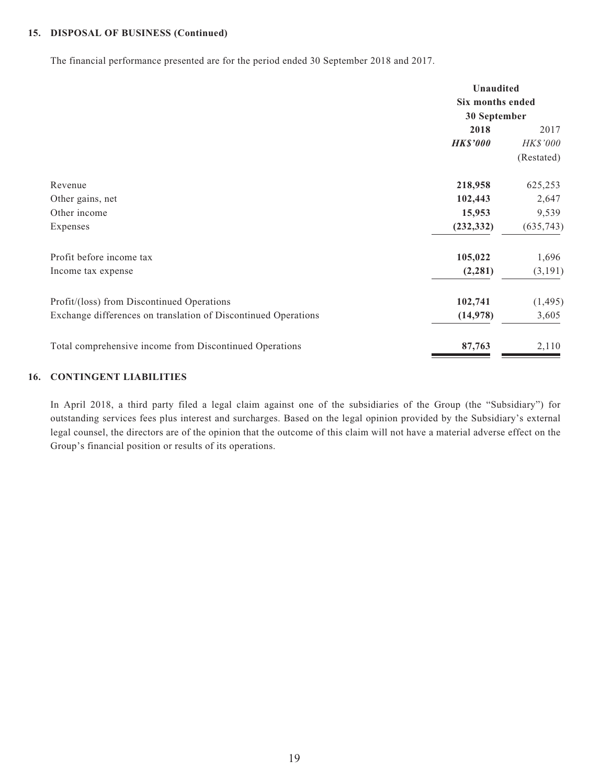### **15. DISPOSAL OF BUSINESS (Continued)**

The financial performance presented are for the period ended 30 September 2018 and 2017.

|                                                                | <b>Unaudited</b> |                  |
|----------------------------------------------------------------|------------------|------------------|
|                                                                |                  | Six months ended |
|                                                                | 30 September     |                  |
|                                                                | 2018             | 2017             |
| <b>HK\$'000</b>                                                |                  | HK\$'000         |
|                                                                |                  | (Restated)       |
| 218,958<br>Revenue                                             |                  | 625,253          |
| 102,443<br>Other gains, net                                    |                  | 2,647            |
| Other income                                                   | 15,953           | 9,539            |
| (232, 332)<br>Expenses                                         |                  | (635, 743)       |
| Profit before income tax<br>105,022                            |                  | 1,696            |
| Income tax expense                                             | (2, 281)         | (3, 191)         |
| Profit/(loss) from Discontinued Operations<br>102,741          |                  | (1, 495)         |
| Exchange differences on translation of Discontinued Operations | (14, 978)        | 3,605            |
| Total comprehensive income from Discontinued Operations        | 87,763           | 2,110            |

#### **16. CONTINGENT LIABILITIES**

In April 2018, a third party filed a legal claim against one of the subsidiaries of the Group (the "Subsidiary") for outstanding services fees plus interest and surcharges. Based on the legal opinion provided by the Subsidiary's external legal counsel, the directors are of the opinion that the outcome of this claim will not have a material adverse effect on the Group's financial position or results of its operations.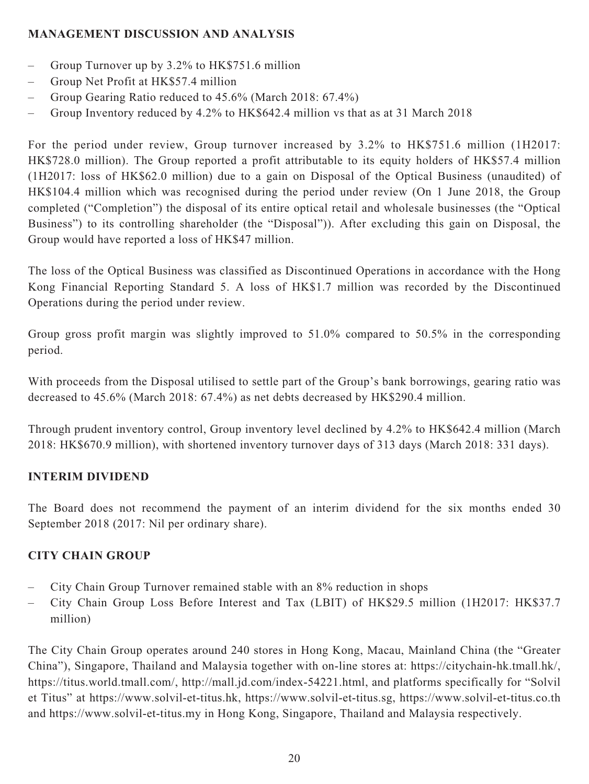## **MANAGEMENT DISCUSSION AND ANALYSIS**

- Group Turnover up by 3.2% to HK\$751.6 million
- Group Net Profit at HK\$57.4 million
- Group Gearing Ratio reduced to 45.6% (March 2018: 67.4%)
- Group Inventory reduced by 4.2% to HK\$642.4 million vs that as at 31 March 2018

For the period under review, Group turnover increased by 3.2% to HK\$751.6 million (1H2017: HK\$728.0 million). The Group reported a profit attributable to its equity holders of HK\$57.4 million (1H2017: loss of HK\$62.0 million) due to a gain on Disposal of the Optical Business (unaudited) of HK\$104.4 million which was recognised during the period under review (On 1 June 2018, the Group completed ("Completion") the disposal of its entire optical retail and wholesale businesses (the "Optical Business") to its controlling shareholder (the "Disposal")). After excluding this gain on Disposal, the Group would have reported a loss of HK\$47 million.

The loss of the Optical Business was classified as Discontinued Operations in accordance with the Hong Kong Financial Reporting Standard 5. A loss of HK\$1.7 million was recorded by the Discontinued Operations during the period under review.

Group gross profit margin was slightly improved to 51.0% compared to 50.5% in the corresponding period.

With proceeds from the Disposal utilised to settle part of the Group's bank borrowings, gearing ratio was decreased to 45.6% (March 2018: 67.4%) as net debts decreased by HK\$290.4 million.

Through prudent inventory control, Group inventory level declined by 4.2% to HK\$642.4 million (March 2018: HK\$670.9 million), with shortened inventory turnover days of 313 days (March 2018: 331 days).

## **INTERIM DIVIDEND**

The Board does not recommend the payment of an interim dividend for the six months ended 30 September 2018 (2017: Nil per ordinary share).

## **CITY CHAIN GROUP**

- City Chain Group Turnover remained stable with an 8% reduction in shops
- City Chain Group Loss Before Interest and Tax (LBIT) of HK\$29.5 million (1H2017: HK\$37.7 million)

The City Chain Group operates around 240 stores in Hong Kong, Macau, Mainland China (the "Greater China"), Singapore, Thailand and Malaysia together with on-line stores at: https://citychain-hk.tmall.hk/, https://titus.world.tmall.com/, http://mall.jd.com/index-54221.html, and platforms specifically for "Solvil et Titus" at https://www.solvil-et-titus.hk, https://www.solvil-et-titus.sg, https://www.solvil-et-titus.co.th and https://www.solvil-et-titus.my in Hong Kong, Singapore, Thailand and Malaysia respectively.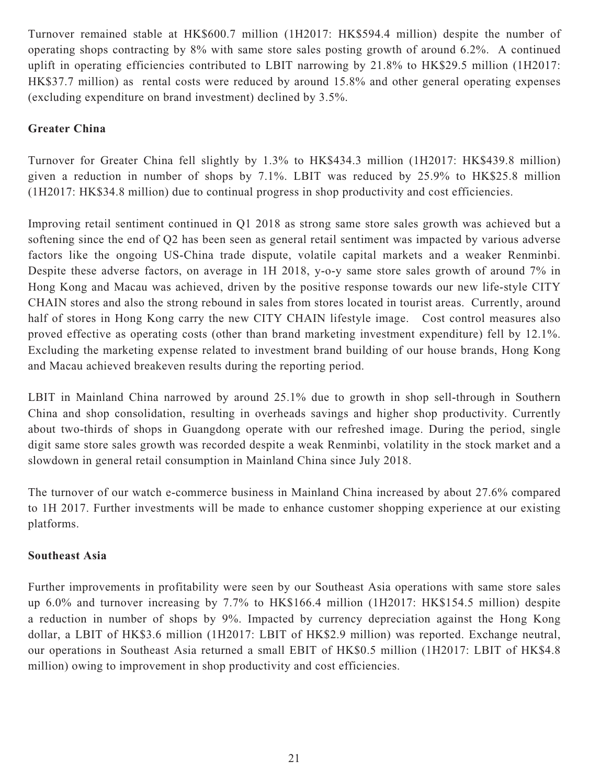Turnover remained stable at HK\$600.7 million (1H2017: HK\$594.4 million) despite the number of operating shops contracting by 8% with same store sales posting growth of around 6.2%. A continued uplift in operating efficiencies contributed to LBIT narrowing by 21.8% to HK\$29.5 million (1H2017: HK\$37.7 million) as rental costs were reduced by around 15.8% and other general operating expenses (excluding expenditure on brand investment) declined by 3.5%.

## **Greater China**

Turnover for Greater China fell slightly by 1.3% to HK\$434.3 million (1H2017: HK\$439.8 million) given a reduction in number of shops by 7.1%. LBIT was reduced by 25.9% to HK\$25.8 million (1H2017: HK\$34.8 million) due to continual progress in shop productivity and cost efficiencies.

Improving retail sentiment continued in Q1 2018 as strong same store sales growth was achieved but a softening since the end of Q2 has been seen as general retail sentiment was impacted by various adverse factors like the ongoing US-China trade dispute, volatile capital markets and a weaker Renminbi. Despite these adverse factors, on average in 1H 2018, y-o-y same store sales growth of around 7% in Hong Kong and Macau was achieved, driven by the positive response towards our new life-style CITY CHAIN stores and also the strong rebound in sales from stores located in tourist areas. Currently, around half of stores in Hong Kong carry the new CITY CHAIN lifestyle image. Cost control measures also proved effective as operating costs (other than brand marketing investment expenditure) fell by 12.1%. Excluding the marketing expense related to investment brand building of our house brands, Hong Kong and Macau achieved breakeven results during the reporting period.

LBIT in Mainland China narrowed by around 25.1% due to growth in shop sell-through in Southern China and shop consolidation, resulting in overheads savings and higher shop productivity. Currently about two-thirds of shops in Guangdong operate with our refreshed image. During the period, single digit same store sales growth was recorded despite a weak Renminbi, volatility in the stock market and a slowdown in general retail consumption in Mainland China since July 2018.

The turnover of our watch e-commerce business in Mainland China increased by about 27.6% compared to 1H 2017. Further investments will be made to enhance customer shopping experience at our existing platforms.

## **Southeast Asia**

Further improvements in profitability were seen by our Southeast Asia operations with same store sales up 6.0% and turnover increasing by 7.7% to HK\$166.4 million (1H2017: HK\$154.5 million) despite a reduction in number of shops by 9%. Impacted by currency depreciation against the Hong Kong dollar, a LBIT of HK\$3.6 million (1H2017: LBIT of HK\$2.9 million) was reported. Exchange neutral, our operations in Southeast Asia returned a small EBIT of HK\$0.5 million (1H2017: LBIT of HK\$4.8 million) owing to improvement in shop productivity and cost efficiencies.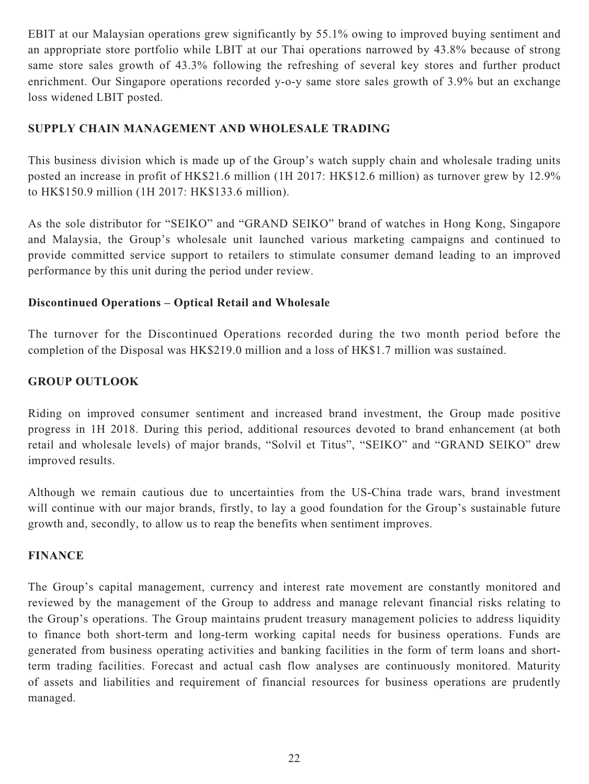EBIT at our Malaysian operations grew significantly by 55.1% owing to improved buying sentiment and an appropriate store portfolio while LBIT at our Thai operations narrowed by 43.8% because of strong same store sales growth of 43.3% following the refreshing of several key stores and further product enrichment. Our Singapore operations recorded y-o-y same store sales growth of 3.9% but an exchange loss widened LBIT posted.

## **SUPPLY CHAIN MANAGEMENT AND WHOLESALE TRADING**

This business division which is made up of the Group's watch supply chain and wholesale trading units posted an increase in profit of HK\$21.6 million (1H 2017: HK\$12.6 million) as turnover grew by 12.9% to HK\$150.9 million (1H 2017: HK\$133.6 million).

As the sole distributor for "SEIKO" and "GRAND SEIKO" brand of watches in Hong Kong, Singapore and Malaysia, the Group's wholesale unit launched various marketing campaigns and continued to provide committed service support to retailers to stimulate consumer demand leading to an improved performance by this unit during the period under review.

## **Discontinued Operations – Optical Retail and Wholesale**

The turnover for the Discontinued Operations recorded during the two month period before the completion of the Disposal was HK\$219.0 million and a loss of HK\$1.7 million was sustained.

## **GROUP OUTLOOK**

Riding on improved consumer sentiment and increased brand investment, the Group made positive progress in 1H 2018. During this period, additional resources devoted to brand enhancement (at both retail and wholesale levels) of major brands, "Solvil et Titus", "SEIKO" and "GRAND SEIKO" drew improved results.

Although we remain cautious due to uncertainties from the US-China trade wars, brand investment will continue with our major brands, firstly, to lay a good foundation for the Group's sustainable future growth and, secondly, to allow us to reap the benefits when sentiment improves.

## **FINANCE**

The Group's capital management, currency and interest rate movement are constantly monitored and reviewed by the management of the Group to address and manage relevant financial risks relating to the Group's operations. The Group maintains prudent treasury management policies to address liquidity to finance both short-term and long-term working capital needs for business operations. Funds are generated from business operating activities and banking facilities in the form of term loans and shortterm trading facilities. Forecast and actual cash flow analyses are continuously monitored. Maturity of assets and liabilities and requirement of financial resources for business operations are prudently managed.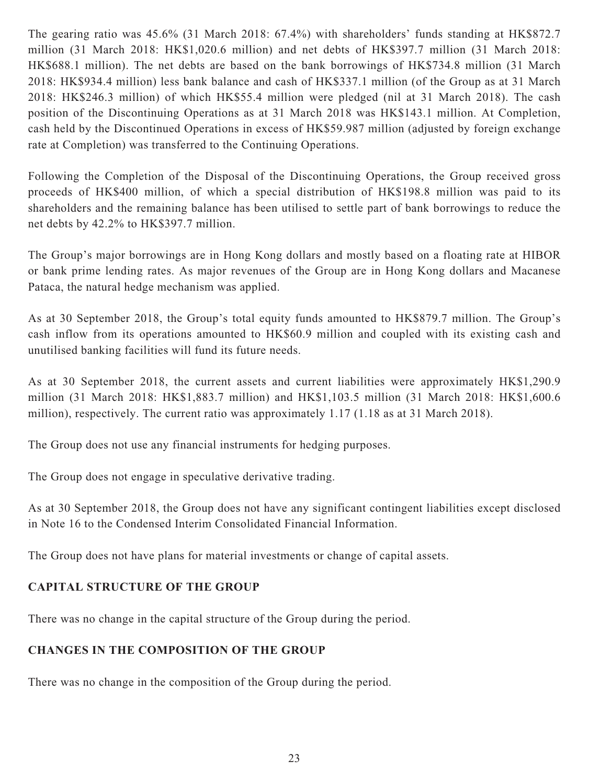The gearing ratio was 45.6% (31 March 2018: 67.4%) with shareholders' funds standing at HK\$872.7 million (31 March 2018: HK\$1,020.6 million) and net debts of HK\$397.7 million (31 March 2018: HK\$688.1 million). The net debts are based on the bank borrowings of HK\$734.8 million (31 March 2018: HK\$934.4 million) less bank balance and cash of HK\$337.1 million (of the Group as at 31 March 2018: HK\$246.3 million) of which HK\$55.4 million were pledged (nil at 31 March 2018). The cash position of the Discontinuing Operations as at 31 March 2018 was HK\$143.1 million. At Completion, cash held by the Discontinued Operations in excess of HK\$59.987 million (adjusted by foreign exchange rate at Completion) was transferred to the Continuing Operations.

Following the Completion of the Disposal of the Discontinuing Operations, the Group received gross proceeds of HK\$400 million, of which a special distribution of HK\$198.8 million was paid to its shareholders and the remaining balance has been utilised to settle part of bank borrowings to reduce the net debts by 42.2% to HK\$397.7 million.

The Group's major borrowings are in Hong Kong dollars and mostly based on a floating rate at HIBOR or bank prime lending rates. As major revenues of the Group are in Hong Kong dollars and Macanese Pataca, the natural hedge mechanism was applied.

As at 30 September 2018, the Group's total equity funds amounted to HK\$879.7 million. The Group's cash inflow from its operations amounted to HK\$60.9 million and coupled with its existing cash and unutilised banking facilities will fund its future needs.

As at 30 September 2018, the current assets and current liabilities were approximately HK\$1,290.9 million (31 March 2018: HK\$1,883.7 million) and HK\$1,103.5 million (31 March 2018: HK\$1,600.6 million), respectively. The current ratio was approximately 1.17 (1.18 as at 31 March 2018).

The Group does not use any financial instruments for hedging purposes.

The Group does not engage in speculative derivative trading.

As at 30 September 2018, the Group does not have any significant contingent liabilities except disclosed in Note 16 to the Condensed Interim Consolidated Financial Information.

The Group does not have plans for material investments or change of capital assets.

## **CAPITAL STRUCTURE OF THE GROUP**

There was no change in the capital structure of the Group during the period.

## **CHANGES IN THE COMPOSITION OF THE GROUP**

There was no change in the composition of the Group during the period.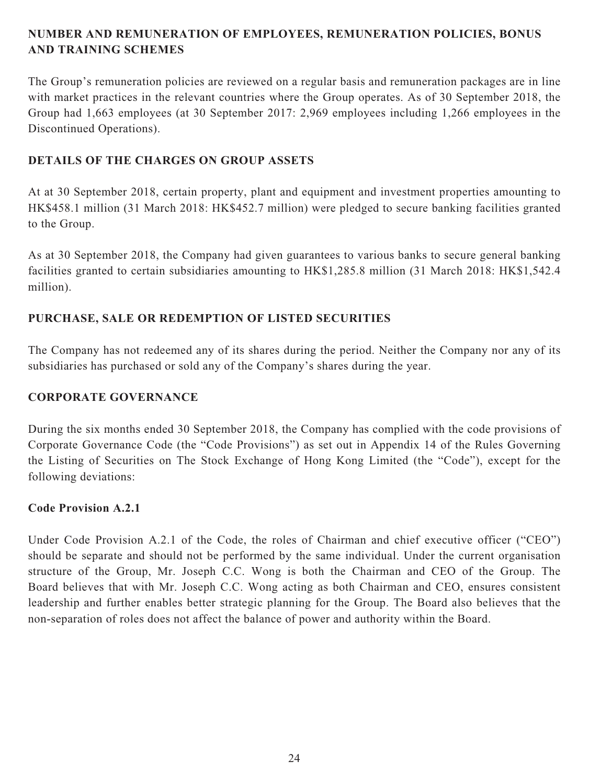## **NUMBER AND REMUNERATION OF EMPLOYEES, REMUNERATION POLICIES, BONUS AND TRAINING SCHEMES**

The Group's remuneration policies are reviewed on a regular basis and remuneration packages are in line with market practices in the relevant countries where the Group operates. As of 30 September 2018, the Group had 1,663 employees (at 30 September 2017: 2,969 employees including 1,266 employees in the Discontinued Operations).

## **DETAILS OF THE CHARGES ON GROUP ASSETS**

At at 30 September 2018, certain property, plant and equipment and investment properties amounting to HK\$458.1 million (31 March 2018: HK\$452.7 million) were pledged to secure banking facilities granted to the Group.

As at 30 September 2018, the Company had given guarantees to various banks to secure general banking facilities granted to certain subsidiaries amounting to HK\$1,285.8 million (31 March 2018: HK\$1,542.4 million).

## **PURCHASE, SALE OR REDEMPTION OF LISTED SECURITIES**

The Company has not redeemed any of its shares during the period. Neither the Company nor any of its subsidiaries has purchased or sold any of the Company's shares during the year.

## **CORPORATE GOVERNANCE**

During the six months ended 30 September 2018, the Company has complied with the code provisions of Corporate Governance Code (the "Code Provisions") as set out in Appendix 14 of the Rules Governing the Listing of Securities on The Stock Exchange of Hong Kong Limited (the "Code"), except for the following deviations:

## **Code Provision A.2.1**

Under Code Provision A.2.1 of the Code, the roles of Chairman and chief executive officer ("CEO") should be separate and should not be performed by the same individual. Under the current organisation structure of the Group, Mr. Joseph C.C. Wong is both the Chairman and CEO of the Group. The Board believes that with Mr. Joseph C.C. Wong acting as both Chairman and CEO, ensures consistent leadership and further enables better strategic planning for the Group. The Board also believes that the non-separation of roles does not affect the balance of power and authority within the Board.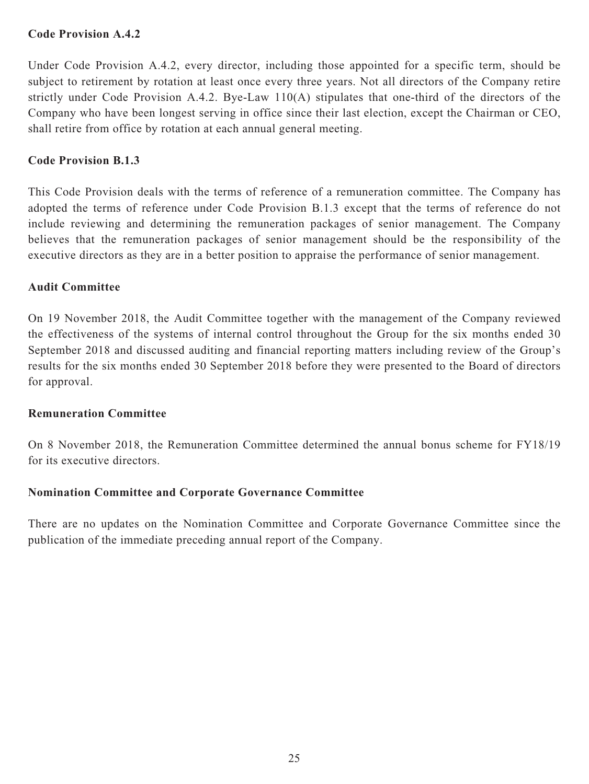### **Code Provision A.4.2**

Under Code Provision A.4.2, every director, including those appointed for a specific term, should be subject to retirement by rotation at least once every three years. Not all directors of the Company retire strictly under Code Provision A.4.2. Bye-Law 110(A) stipulates that one-third of the directors of the Company who have been longest serving in office since their last election, except the Chairman or CEO, shall retire from office by rotation at each annual general meeting.

### **Code Provision B.1.3**

This Code Provision deals with the terms of reference of a remuneration committee. The Company has adopted the terms of reference under Code Provision B.1.3 except that the terms of reference do not include reviewing and determining the remuneration packages of senior management. The Company believes that the remuneration packages of senior management should be the responsibility of the executive directors as they are in a better position to appraise the performance of senior management.

### **Audit Committee**

On 19 November 2018, the Audit Committee together with the management of the Company reviewed the effectiveness of the systems of internal control throughout the Group for the six months ended 30 September 2018 and discussed auditing and financial reporting matters including review of the Group's results for the six months ended 30 September 2018 before they were presented to the Board of directors for approval.

### **Remuneration Committee**

On 8 November 2018, the Remuneration Committee determined the annual bonus scheme for FY18/19 for its executive directors.

## **Nomination Committee and Corporate Governance Committee**

There are no updates on the Nomination Committee and Corporate Governance Committee since the publication of the immediate preceding annual report of the Company.